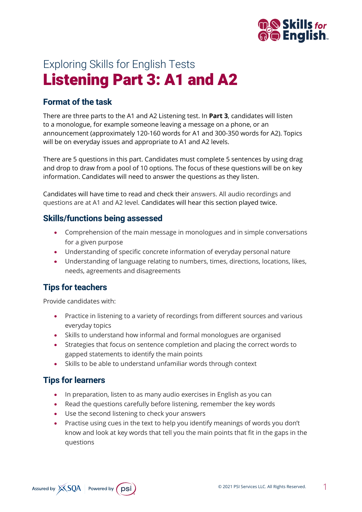

# Exploring Skills for English Tests Listening Part 3: A1 and A2

# **Format of the task**

There are three parts to the A1 and A2 Listening test. In **Part 3**, candidates will listen to a monologue, for example someone leaving a message on a phone, or an announcement (approximately 120-160 words for A1 and 300-350 words for A2). Topics will be on everyday issues and appropriate to A1 and A2 levels.

There are 5 questions in this part. Candidates must complete 5 sentences by using drag and drop to draw from a pool of 10 options. The focus of these questions will be on key information. Candidates will need to answer the questions as they listen.

Candidates will have time to read and check their answers. All audio recordings and questions are at A1 and A2 level. Candidates will hear this section played twice.

#### **Skills/functions being assessed**

- Comprehension of the main message in monologues and in simple conversations for a given purpose
- Understanding of specific concrete information of everyday personal nature
- Understanding of language relating to numbers, times, directions, locations, likes, needs, agreements and disagreements

### **Tips for teachers**

Provide candidates with:

- Practice in listening to a variety of recordings from different sources and various everyday topics
- Skills to understand how informal and formal monologues are organised
- Strategies that focus on sentence completion and placing the correct words to gapped statements to identify the main points
- Skills to be able to understand unfamiliar words through context

### **Tips for learners**

- In preparation, listen to as many audio exercises in English as you can
- Read the questions carefully before listening, remember the key words
- Use the second listening to check your answers
- Practise using cues in the text to help you identify meanings of words you don't know and look at key words that tell you the main points that fit in the gaps in the questions